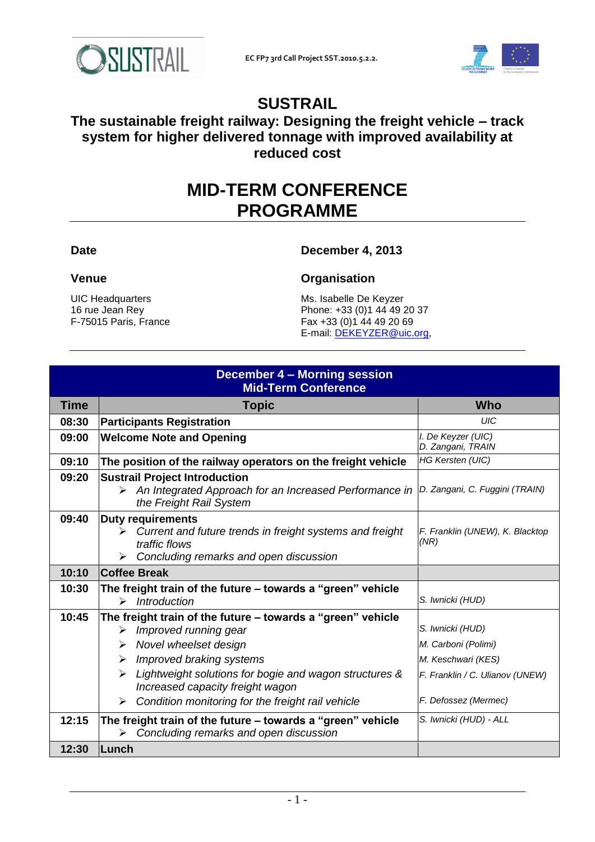



# **SUSTRAIL**

## **The sustainable freight railway: Designing the freight vehicle – track system for higher delivered tonnage with improved availability at reduced cost**

# **MID-TERM CONFERENCE PROGRAMME**

## **Date December 4, 2013**

UIC Headquarters 16 rue Jean Rey F-75015 Paris, France

### **Venue Organisation**

Ms. Isabelle De Keyzer Phone: +33 (0)1 44 49 20 37 Fax +33 (0)1 44 49 20 69 E-mail: [DEKEYZER@uic.org,](mailto:DEKEYZER@uic.org)

| December 4 - Morning session<br><b>Mid-Term Conference</b> |                                                                                                                                                                                                                         |                                                                                                  |  |
|------------------------------------------------------------|-------------------------------------------------------------------------------------------------------------------------------------------------------------------------------------------------------------------------|--------------------------------------------------------------------------------------------------|--|
| <b>Time</b>                                                | <b>Topic</b>                                                                                                                                                                                                            | <b>Who</b>                                                                                       |  |
| 08:30                                                      | <b>Participants Registration</b>                                                                                                                                                                                        | UIC                                                                                              |  |
| 09:00                                                      | <b>Welcome Note and Opening</b>                                                                                                                                                                                         | I. De Keyzer (UIC)<br>D. Zangani, TRAIN                                                          |  |
| 09:10                                                      | The position of the railway operators on the freight vehicle                                                                                                                                                            | HG Kersten (UIC)                                                                                 |  |
| 09:20                                                      | <b>Sustrail Project Introduction</b><br>$\triangleright$ An Integrated Approach for an Increased Performance in<br>the Freight Rail System                                                                              | D. Zangani, C. Fuggini (TRAIN)                                                                   |  |
| 09:40                                                      | <b>Duty requirements</b><br>$\triangleright$ Current and future trends in freight systems and freight<br>traffic flows<br>$\triangleright$ Concluding remarks and open discussion                                       | F. Franklin (UNEW), K. Blacktop<br>(NR)                                                          |  |
| 10:10                                                      | <b>Coffee Break</b>                                                                                                                                                                                                     |                                                                                                  |  |
| 10:30                                                      | The freight train of the future - towards a "green" vehicle<br>Introduction<br>$\triangleright$                                                                                                                         | S. Iwnicki (HUD)                                                                                 |  |
| 10:45                                                      | The freight train of the future - towards a "green" vehicle<br>Improved running gear<br>➤<br>Novel wheelset design<br>➤<br>Improved braking systems<br>➤<br>Lightweight solutions for bogie and wagon structures &<br>➤ | S. Iwnicki (HUD)<br>M. Carboni (Polimi)<br>M. Keschwari (KES)<br>F. Franklin / C. Ulianov (UNEW) |  |
|                                                            | Increased capacity freight wagon<br>Condition monitoring for the freight rail vehicle<br>≻                                                                                                                              | F. Defossez (Mermec)                                                                             |  |
| 12:15                                                      | The freight train of the future - towards a "green" vehicle<br>Concluding remarks and open discussion<br>➤                                                                                                              | S. Iwnicki (HUD) - ALL                                                                           |  |
| 12:30                                                      | Lunch                                                                                                                                                                                                                   |                                                                                                  |  |